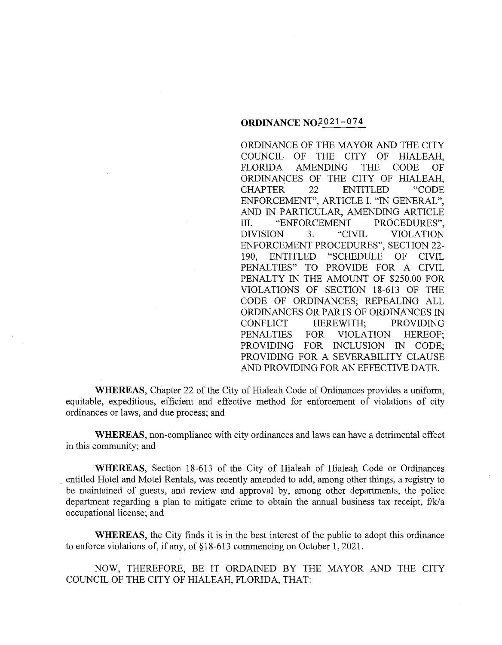## **ORDINANCE NQ;2021-074**

ORDINANCE OF THE MAYOR AND THE CITY COUNCIL OF THE CITY OF HIALEAH, FLORIDA AMENDING THE CODE OF ORDINANCES OF THE CITY OF HIALEAH, CHAPTER 22 ENTITLED "CODE ENFORCEMENT", ARTICLE I. "IN GENERAL", AND IN PARTICULAR, AMENDING ARTICLE III. "ENFORCEMENT PROCEDURES", DIVISION 3. "CIVIL VIOLATION ENFORCEMENT PROCEDURES", SECTION 22- 190, ENTITLED "SCHEDULE OF CIVIL PENALTIES" TO PROVIDE FOR A CIVIL PENALTY IN THE AMOUNT OF \$250.00 FOR VIOLATIONS OF SECTION 18-613 OF THE CODE OF ORDINANCES; REPEALING ALL ORDINANCES OR PARTS OF ORDINANCES IN CONFLICT HEREWITH; PROVIDING PENALTIES FOR VIOLATION HEREOF; PROVIDING FOR INCLUSION IN CODE; PROVIDING FOR A SEVERABILITY CLAUSE AND PROVIDING FOR AN EFFECTIVE DATE.

**WHEREAS,** Chapter 22 of the City of Hialeah Code of Ordinances provides a uniform, equitable, expeditious, efficient and effective method for enforcement of violations of city ordinances or laws, and due process; and

**WHEREAS,** non-compliance with city ordinances and laws can have a detrimental effect in this community; and

**WHEREAS,** Section 18-613 of the City of Hialeah of Hialeah Code or Ordinances . entitled Hotel and Motel Rentals, was recently amended to add, among other things, a registry to be maintained of guests, and review and approval by, among other departments, the police department regarding a plan to mitigate crime to obtain the annual business tax receipt, f/k/a occupational license; and

**WHEREAS,** the City finds it is in the best interest of the public to adopt this ordinance to enforce violations of, if any, of § 18-613 commencing on October 1, 2021.

NOW, THEREFORE, BE IT ORDAINED BY THE MAYOR AND THE CITY COUNCIL OF THE CITY OF HIALEAH, FLORIDA, THAT: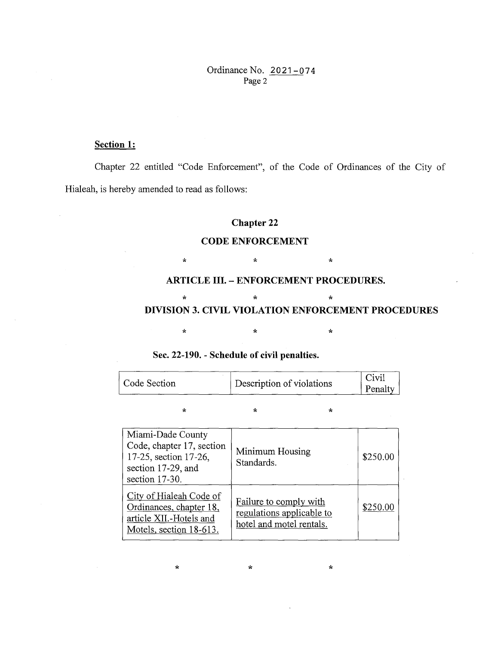Ordinance No. 2021-074 Page 2

## Section 1:

Chapter 22 entitled "Code Enforcement", of the Code of Ordinances of the City of Hialeah, is hereby amended to read as follows:

## Chapter 22

# CODE ENFORCEMENT

 $\star$   $\star$   $\star$ 

### ARTICLE III. - ENFORCEMENT PROCEDURES.

## $\star$   $\star$   $\star$ DIVISION 3. CIVIL VIOLATION ENFORCEMENT PROCEDURES

## Sec. 22-190. - Schedule of civil penalties.

| Code Section | Description of violations | Civil<br>Penalty |
|--------------|---------------------------|------------------|
|              |                           |                  |

 $\star$  \*  $\star$  \*  $\star$ 

 $\star$  \*  $\star$  \*

| Miami-Dade County<br>Code, chapter 17, section<br>17-25, section 17-26,<br>section 17-29, and<br>section 17-30. | Minimum Housing<br>Standards.                                                   | \$250.00 |
|-----------------------------------------------------------------------------------------------------------------|---------------------------------------------------------------------------------|----------|
| City of Hialeah Code of<br>Ordinances, chapter 18,<br>article XII.-Hotels and<br>Motels, section 18-613.        | Failure to comply with<br>regulations applicable to<br>hotel and motel rentals. | \$250.00 |

 $\star$  \*  $\star$  \*  $\star$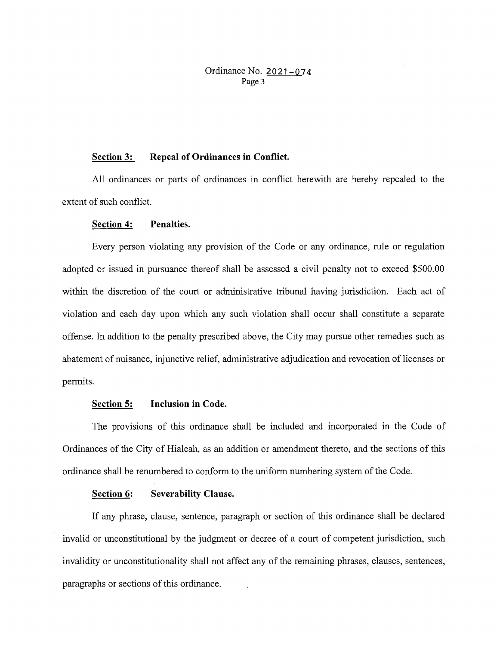Ordinance No. **2021-074**  Page 3

#### **Section 3: Repeal of Ordinances in Conflict.**

All ordinances or parts of ordinances in conflict herewith are hereby repealed to the extent of such conflict.

### **Section 4: Penalties.**

Every person violating any provision of the Code or any ordinance, rule or regulation adopted or issued in pursuance thereof shall be assessed a civil penalty not to exceed \$500.00 within the discretion of the court or administrative tribunal having jurisdiction. Each act of violation and each day upon which any such violation shall occur shall constitute a separate offense. In addition to the penalty prescribed above, the City may pursue other remedies such as abatement of nuisance, injunctive relief, administrative adjudication and revocation of licenses or permits.

### **Section 5: Inclusion in Code.**

The provisions of this ordinance shall be included and incorporated in the Code of Ordinances of the City of Hialeah, as an addition or amendment thereto, and the sections of this ordinance shall be renumbered to conform to the uniform numbering system of the Code.

### **Section 6: Severability Clause.**

If any phrase, clause, sentence, paragraph or section of this ordinance shall be declared invalid or unconstitutional by the judgment or decree of a court of competent jurisdiction, such invalidity or unconstitutionality shall not affect any of the remaining phrases, clauses, sentences, paragraphs or sections of this ordinance.